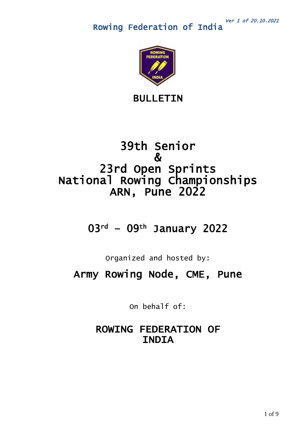

BULLETIN

# 39th Senior & 23rd Open Sprints National Rowing Championships ARN, Pune 2022

# 03rd – 09th January 2022

Organized and hosted by:

Army Rowing Node, CME, Pune

 On behalf of:

# ROWING FEDERATION OF INDIA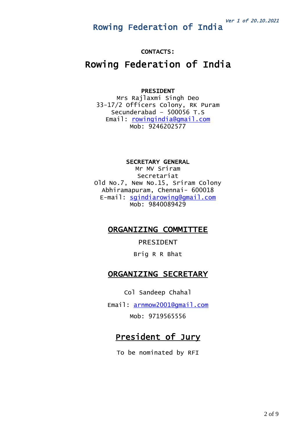### CONTACTS:

# Rowing Federation of India

#### PRESIDENT

Mrs Rajlaxmi Singh Deo 33-17/2 Officers Colony, RK Puram Secunderabad – 500056 T.S Email: [rowingindia@gmail.com](mailto:rowingindia@gmail.com) Mob: 9246202577

SECRETARY GENERAL

Mr MV Sriram Secretariat Old No.7, New No.15, Sriram Colony Abhiramapuram, Chennai- 600018 E-mail: [sgindiarowing@gmail.com](mailto:sgindiarowing@gmail.com) Mob: 9840089429

# ORGANIZING COMMITTEE

PRESIDENT

Brig R R Bhat

# ORGANIZING SECRETARY

Col Sandeep Chahal

Email: [arnmow2001@gmail.com](mailto:arnmow2001@gmail.com) Mob: 9719565556

# President of Jury

To be nominated by RFI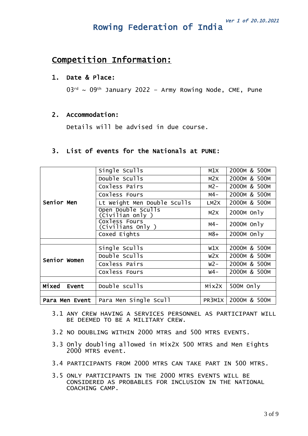# Competition Information:

### 1. Date & Place:

 $03^{rd} \sim 09^{th}$  January 2022 - Army Rowing Node, CME, Pune

### 2. Accommodation:

Details will be advised in due course.

# 3. List of events for the Nationals at PUNE:

|                | Single Sculls                         | M1X    | 2000M & 500M |
|----------------|---------------------------------------|--------|--------------|
| Senior Men     | Double Sculls                         | M2X    | 2000M & 500M |
|                | Coxless Pairs                         | $M2-$  | 2000M & 500M |
|                | Coxless Fours                         | м4-    | 2000M & 500M |
|                | Lt Weight Men Double Sculls           | LM2X   | 2000M & 500M |
|                | Open Double Sculls<br>(Civilian only) | M2X    | 2000M Only   |
|                | Coxless Fours<br>(Civilians Only )    | м4-    | $2000M$ Only |
|                | Coxed Eights                          | $M8+$  | 2000M Only   |
|                |                                       |        |              |
|                | Single Sculls                         | W1X    | 2000M & 500M |
| Senior Women   | Double Sculls                         | W2X    | 2000M & 500M |
|                | Coxless Pairs                         | $W2-$  | 2000M & 500M |
|                | Coxless Fours                         | w4-    | 2000M & 500M |
|                |                                       |        |              |
| Mixed<br>Event | Double sculls                         | Mix2X  | 500M Only    |
|                |                                       |        |              |
| Para Men Event | Para Men Single Scull                 | PR3M1X | 2000M & 500M |

- 3.1 ANY CREW HAVING A SERVICES PERSONNEL AS PARTICIPANT WILL BE DEEMED TO BE A MILITARY CREW.
- 3.2 NO DOUBLING WITHIN 2000 MTRS and 500 MTRS EVENTS.
- 3.3 Only doubling allowed in Mix2X 500 MTRS and Men Eights 2000 MTRS event.
- 3.4 PARTICIPANTS FROM 2000 MTRS CAN TAKE PART IN 500 MTRS.
- 3.5 ONLY PARTICIPANTS IN THE 2000 MTRS EVENTS WILL BE CONSIDERED AS PROBABLES FOR INCLUSION IN THE NATIONAL COACHING CAMP.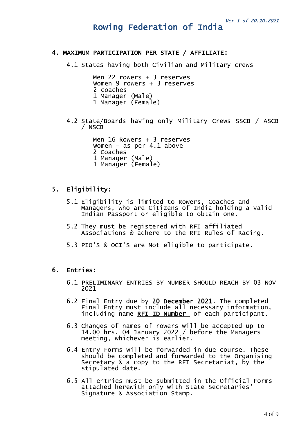#### 4. MAXIMUM PARTICIPATION PER STATE / AFFILIATE:

4.1 States having both Civilian and Military crews

Men 22 rowers + 3 reserves Women 9 rowers + 3 reserves 2 coaches 1 Manager (Male) 1 Manager (Female)

4.2 State/Boards having only Military Crews SSCB / ASCB / NSCB

> Men 16 Rowers + 3 reserves Women – as per 4.1 above 2 Coaches 1 Manager (Male) 1 Manager (Female)

## 5. Eligibility:

- 5.1 Eligibility is limited to Rowers, Coaches and Managers, who are Citizens of India holding a valid Indian Passport or eligible to obtain one.
- 5.2 They must be registered with RFI affiliated Associations & adhere to the RFI Rules of Racing.
- 5.3 PIO'S & OCI'S are Not eligible to participate.

### 6. Entries:

- 6.1 PRELIMINARY ENTRIES BY NUMBER SHOULD REACH BY 03 NOV 2021
- 6.2 Final Entry due by 20 December 2021. The completed Final Entry must include all necessary information, including name RFI ID Number of each participant.
- 6.3 Changes of names of rowers will be accepted up to 14.00 hrs. 04 January 2022 / before the Managers meeting, whichever is earlier.
- 6.4 Entry Forms will be forwarded in due course. These should be completed and forwarded to the Organising Secretary & a copy to the RFI Secretariat, by the stipulated date.
- 6.5 All entries must be submitted in the Official Forms attached herewith only with State Secretaries' Signature & Association Stamp.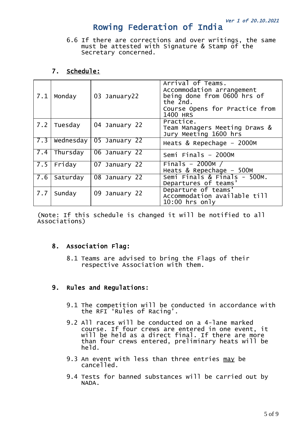6.6 If there are corrections and over writings, the same must be attested with Signature & Stamp of the Secretary concerned.

# 7. Schedule:

| 7.1 | Monday   | 03 January22              | Arrival of Teams.<br>Accommodation arrangement<br>being done from 0600 hrs of<br>the 2nd.<br>Course Opens for Practice from<br>1400 HRS |
|-----|----------|---------------------------|-----------------------------------------------------------------------------------------------------------------------------------------|
| 7.2 | Tuesday  | 04 January 22             | Practice.<br>Team Managers Meeting Draws &<br>Jury Meeting 1600 hrs                                                                     |
| 7.3 |          | Wednesday   05 January 22 | Heats & Repechage - 2000M                                                                                                               |
| 7.4 | Thursday | 06 January 22             | Semi Finals $-2000M$                                                                                                                    |
| 7.5 | Friday   | 07 January 22             | Finals $-2000M/$<br>Heats $&$ Repechage - 500M                                                                                          |
| 7.6 | Saturday | 08 January 22             | Semi Finals & Finals - 500M.<br>Departures of teams'                                                                                    |
| 7.7 | Sunday   | 09 January 22             | Departure of teams'<br>Accommodation available till<br>$10:00$ hrs only                                                                 |

(Note: If this schedule is changed it will be notified to all Associations)

# 8. Association Flag:

8.1 Teams are advised to bring the Flags of their respective Association with them.

# 9. Rules and Regulations:

- 9.1 The competition will be conducted in accordance with the RFI 'Rules of Racing'.
- 9.2 All races will be conducted on a 4-lane marked course. If four crews are entered in one event, it will be held as a direct final. If there are more than four crews entered, preliminary heats will be held.
- 9.3 An event with less than three entries may be cancelled.
- 9.4 Tests for banned substances will be carried out by NADA.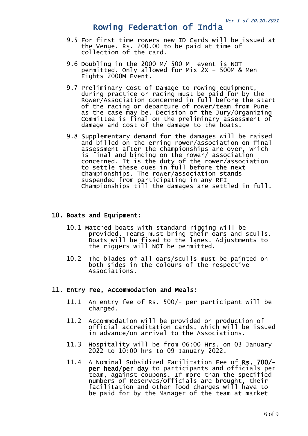- 9.5 For first time rowers new ID Cards will be issued at the Venue. Rs. 200.00 to be paid at time of collection of the card.
- 9.6 Doubling in the 2000 M/ 500 M event is NOT permitted. Only allowed for Mix 2X – 500M & Men Eights 2000M Event.
- 9.7 Preliminary Cost of Damage to rowing equipment, during practice or racing must be paid for by the Rower/Association concerned in full before the start of the racing or departure of rower/team from Pune as the case may be. Decision of the Jury/Organizing Committee is final on the preliminary assessment of damage and cost of the damage to the boats.
- 9.8 Supplementary demand for the damages will be raised and billed on the erring rower/association on final assessment after the championships are over, which is final and binding on the rower/ association concerned. It is the duty of the rower/association to settle these dues in full before the next championships. The rower/association stands suspended from participating in any RFI Championships till the damages are settled in full.

### 10. Boats and Equipment:

- 10.1 Matched boats with standard rigging will be provided. Teams must bring their oars and sculls. Boats will be fixed to the lanes. Adjustments to the riggers will NOT be permitted.
- 10.2 The blades of all oars/sculls must be painted on both sides in the colours of the respective Associations.

#### 11. Entry Fee, Accommodation and Meals:

- 11.1 An entry fee of Rs. 500/- per participant will be charged.
- 11.2 Accommodation will be provided on production of official accreditation cards, which will be issued in advance/on arrival to the Associations.
- 11.3 Hospitality will be from 06:00 Hrs. on 03 January 2022 to 10:00 hrs to 09 January 2022.
- 11.4 A Nominal Subsidized Facilitation Fee of Rs. 700/ per head/per day to participants and officials per team, against coupons. If more than the specified numbers of Reserves/Officials are brought, their facilitation and other food charges will have to be paid for by the Manager of the team at market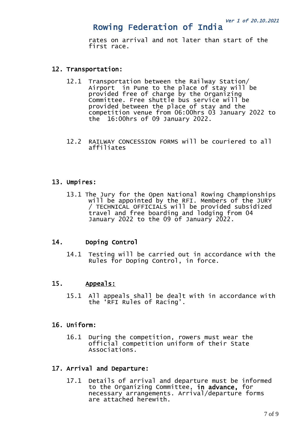rates on arrival and not later than start of the first race.

### 12. Transportation:

- 12.1 Transportation between the Railway Station/ Airport in Pune to the place of stay will be provided free of charge by the Organizing Committee. Free shuttle bus service will be provided between the place of stay and the competition venue from 06:00hrs 03 January 2022 to the 16:00hrs of 09 January 2022.
- 12.2 RAILWAY CONCESSION FORMS will be couriered to all affiliates

## 13. Umpires:

13.1 The Jury for the Open National Rowing Championships will be appointed by the RFI. Members of the JURY / TECHNICAL OFFICIALS will be provided subsidized travel and free boarding and lodging from 04 January 2022 to the 09 of January 2022.

## 14. Doping Control

14.1 Testing will be carried out in accordance with the Rules for Doping Control, in force.

## 15. Appeals:

15.1 All appeals shall be dealt with in accordance with the 'RFI Rules of Racing'.

#### 16. Uniform:

16.1 During the competition, rowers must wear the official competition uniform of their State Associations.

#### 17. Arrival and Departure:

17.1 Details of arrival and departure must be informed to the Organizing Committee, in advance, for necessary arrangements. Arrival/departure forms are attached herewith.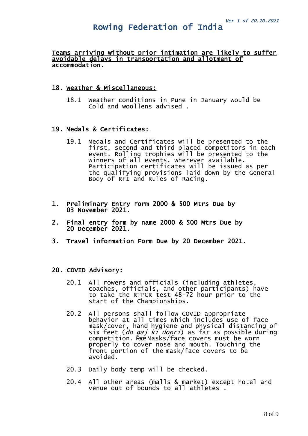#### Teams arriving without prior intimation are likely to suffer avoidable delays in transportation and allotment of accommodation.

### 18. Weather & Miscellaneous:

18.1 Weather conditions in Pune in January would be Cold and woollens advised .

## 19. Medals & Certificates:

- 19.1 Medals and Certificates will be presented to the first, second and third placed competitors in each event. Rolling trophies will be presented to the winners of all events, wherever available. Participation certificates will be issued as per the qualifying provisions laid down by the General Body of RFI and Rules of Racing.
- 1. Preliminary Entry Form 2000 & 500 Mtrs Due by 03 November 2021.
- 2. Final entry form by name 2000 & 500 Mtrs Due by 20 December 2021.
- 3. Travel information Form Due by 20 December 2021.

### 20. COVID Advisory:

- 20.1 All rowers and officials (including athletes, coaches, officials, and other participants) have to take the RTPCR test 48-72 hour prior to the start of the Championships.
- 20.2 All persons shall follow COVID appropriate behavior at all times which includes use of face mask/cover, hand hygiene and physical distancing of six feet (*do gaj ki doori*) as far as possible during competition. Face Masks/face covers must be worn properly to cover nose and mouth. Touching the front portion of the mask/face covers to be avoided.
- 20.3 Daily body temp will be checked.
- 20.4 All other areas (malls & market) except hotel and venue out of bounds to all athletes .